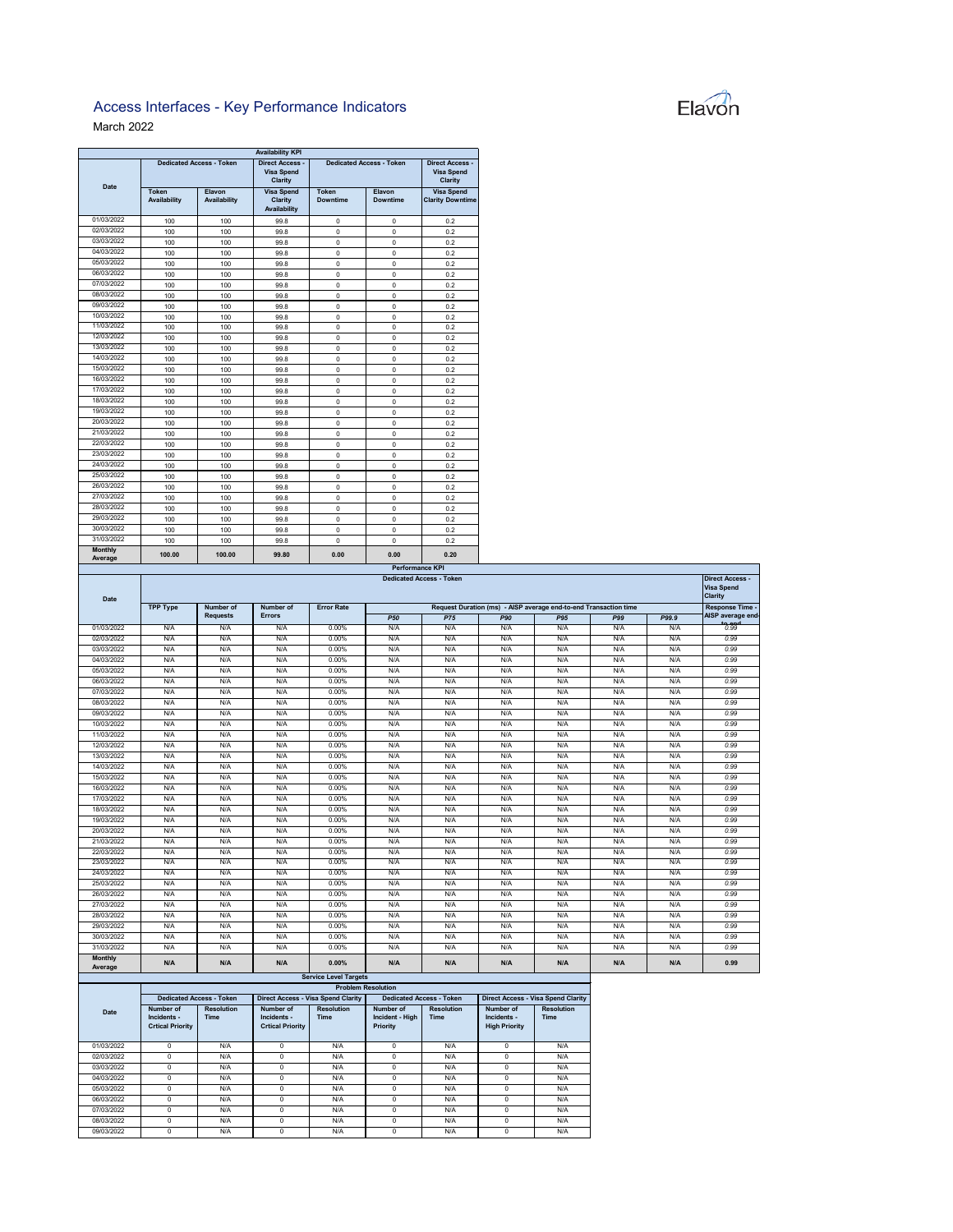## Elavon

## Access Interfaces - Key Performance Indicators March 2022

|                           |                              |                                      | <b>Availability KPI</b>                                       |                                 |                                                               |                                              |
|---------------------------|------------------------------|--------------------------------------|---------------------------------------------------------------|---------------------------------|---------------------------------------------------------------|----------------------------------------------|
| <b>Date</b>               |                              | <b>Dedicated Access - Token</b>      | <b>Direct Access -</b><br><b>Visa Spend</b><br><b>Clarity</b> | <b>Dedicated Access - Token</b> | <b>Direct Access -</b><br><b>Visa Spend</b><br><b>Clarity</b> |                                              |
|                           | <b>Token</b><br>Availability | <b>Elavon</b><br><b>Availability</b> | <b>Visa Spend</b><br><b>Clarity</b><br><b>Availability</b>    | <b>Token</b><br><b>Downtime</b> | <b>Elavon</b><br><b>Downtime</b>                              | <b>Visa Spend</b><br><b>Clarity Downtime</b> |
| 01/03/2022                | 100                          | 100                                  | 99.8                                                          | 0                               | 0                                                             | 0.2                                          |
| 02/03/2022                | 100                          | 100                                  | 99.8                                                          | $\Omega$                        | 0                                                             | 0.2                                          |
| 03/03/2022                | 100                          | 100                                  | 99.8                                                          | 0                               | 0                                                             | 0.2                                          |
| 04/03/2022                | 100                          | 100                                  | 99.8                                                          | 0                               | 0                                                             | 0.2                                          |
| 05/03/2022                | 100                          | 100                                  | 99.8                                                          | 0                               | 0                                                             | 0.2                                          |
| 06/03/2022                | 100                          | 100                                  | 99.8                                                          | 0                               | 0                                                             | 0.2                                          |
| 07/03/2022                | 100                          | 100                                  | 99.8                                                          | 0                               | 0                                                             | 0.2                                          |
| 08/03/2022                | 100                          | 100                                  | 99.8                                                          | $\mathbf 0$                     | 0                                                             | 0.2                                          |
| 09/03/2022                | 100                          | 100                                  | 99.8                                                          | 0                               | $\mathbf 0$                                                   | 0.2                                          |
| 10/03/2022                | 100                          | 100                                  | 99.8                                                          | 0                               | 0                                                             | 0.2                                          |
| 11/03/2022                | 100                          | 100                                  | 99.8                                                          | $\mathbf 0$                     | 0                                                             | 0.2                                          |
| 12/03/2022                | 100                          | 100                                  | 99.8                                                          | 0                               | 0                                                             | 0.2                                          |
| 13/03/2022                | 100                          | 100                                  | 99.8                                                          | 0                               | 0                                                             | 0.2                                          |
| 14/03/2022                | 100                          | 100                                  | 99.8                                                          | 0                               | 0                                                             | 0.2                                          |
| 15/03/2022                | 100                          | 100                                  | 99.8                                                          | 0                               | 0                                                             | 0.2                                          |
| 16/03/2022                | 100                          | 100                                  | 99.8                                                          | 0                               | 0                                                             | 0.2                                          |
| 17/03/2022                | 100                          | 100                                  | 99.8                                                          | 0                               | 0                                                             | 0.2                                          |
| 18/03/2022                | 100                          | 100                                  | 99.8                                                          | 0                               | 0                                                             | 0.2                                          |
| 19/03/2022                | 100                          | 100                                  | 99.8                                                          | 0                               | 0                                                             | 0.2                                          |
| 20/03/2022                | 100                          | 100                                  | 99.8                                                          | $\mathbf 0$                     | 0                                                             | 0.2                                          |
| 21/03/2022                | 100                          | 100                                  | 99.8                                                          | 0                               | 0                                                             | 0.2                                          |
| 22/03/2022                | 100                          | 100                                  | 99.8                                                          | 0                               | 0                                                             | 0.2                                          |
| 23/03/2022                | 100                          | 100                                  | 99.8                                                          | 0                               | 0                                                             | 0.2                                          |
| 24/03/2022                | 100                          | 100                                  | 99.8                                                          | 0                               | 0                                                             | 0.2                                          |
| 25/03/2022                | 100                          | 100                                  | 99.8                                                          | 0                               | 0                                                             | 0.2                                          |
| 26/03/2022                | 100                          | 100                                  | 99.8                                                          | 0                               | 0                                                             | 0.2                                          |
| 27/03/2022                | 100                          | 100                                  | 99.8                                                          | 0                               | 0                                                             | 0.2                                          |
| 28/03/2022                | 100                          | 100                                  | 99.8                                                          | 0                               | 0                                                             | 0.2                                          |
| 29/03/2022                | 100                          | 100                                  | 99.8                                                          | 0                               | 0                                                             | 0.2                                          |
| 30/03/2022                | 100                          | 100                                  | 99.8                                                          | 0                               | 0                                                             | 0.2                                          |
| 31/03/2022                | 100                          | 100                                  | 99.8                                                          | $\overline{0}$                  | $\overline{0}$                                                | 0.2                                          |
| <b>Monthly</b><br>Average | 100.00                       | 100.00                               | 99.80                                                         | 0.00                            | 0.00                                                          | 0.20                                         |

|                              |                          |                                  |                          |                                           | <b>Performance KPI</b>                                           |                                  |                          |                                           |            |       |                                                               |
|------------------------------|--------------------------|----------------------------------|--------------------------|-------------------------------------------|------------------------------------------------------------------|----------------------------------|--------------------------|-------------------------------------------|------------|-------|---------------------------------------------------------------|
| <b>Date</b>                  |                          |                                  |                          |                                           |                                                                  | <b>Dedicated Access - Token</b>  |                          |                                           |            |       | <b>Direct Access -</b><br><b>Visa Spend</b><br><b>Clarity</b> |
|                              | <b>TPP Type</b>          | Number of                        | Number of                | <b>Error Rate</b>                         | Request Duration (ms) - AISP average end-to-end Transaction time |                                  |                          |                                           |            |       | Response Time -                                               |
|                              |                          | <b>Requests</b>                  | <b>Errors</b>            |                                           | <b>P50</b>                                                       | <b>P75</b>                       | <b>P90</b>               | P95                                       | <b>P99</b> | P99.9 | AISP average end                                              |
| 01/03/2022                   | N/A                      | N/A                              | N/A                      | 0.00%                                     | N/A                                                              | N/A                              | N/A                      | N/A                                       | N/A        | N/A   | 0.99                                                          |
| 02/03/2022                   | N/A                      | N/A                              | N/A                      | 0.00%                                     | N/A                                                              | N/A                              | N/A                      | N/A                                       | N/A        | N/A   | 0.99                                                          |
| 03/03/2022                   | N/A                      | N/A                              | N/A                      | 0.00%                                     | N/A                                                              | N/A                              | N/A                      | N/A                                       | N/A        | N/A   | 0.99                                                          |
| 04/03/2022                   | N/A                      | N/A                              | N/A                      | 0.00%                                     | N/A                                                              | N/A                              | N/A                      | N/A                                       | N/A        | N/A   | 0.99                                                          |
| 05/03/2022                   | N/A                      | N/A                              | N/A                      | 0.00%                                     | N/A                                                              | N/A                              | N/A                      | N/A                                       | N/A        | N/A   | 0.99                                                          |
| 06/03/2022                   | N/A                      | N/A                              | N/A                      | 0.00%                                     | N/A                                                              | N/A                              | N/A                      | N/A                                       | N/A        | N/A   | 0.99                                                          |
| 07/03/2022                   | N/A                      | N/A                              | N/A                      | 0.00%                                     | N/A                                                              | N/A                              | N/A                      | N/A                                       | N/A        | N/A   | 0.99                                                          |
| 08/03/2022                   | N/A                      | N/A                              | N/A                      | 0.00%                                     | N/A                                                              | N/A                              | N/A                      | N/A                                       | N/A        | N/A   | 0.99                                                          |
| 09/03/2022                   | N/A                      | N/A                              | N/A                      | 0.00%                                     | N/A                                                              | N/A                              | N/A                      | N/A                                       | N/A        | N/A   | 0.99                                                          |
| 10/03/2022                   | N/A                      | N/A                              | N/A                      | 0.00%                                     | N/A                                                              | N/A                              | N/A                      | N/A                                       | N/A        | N/A   | 0.99                                                          |
| 11/03/2022                   | N/A                      | N/A                              | N/A                      | 0.00%                                     | N/A                                                              | N/A                              | N/A                      | N/A                                       | N/A        | N/A   | 0.99                                                          |
| 12/03/2022                   | N/A                      | N/A                              | N/A                      | 0.00%                                     | N/A                                                              | N/A                              | N/A                      | N/A                                       | N/A        | N/A   | 0.99                                                          |
| 13/03/2022                   | N/A                      | N/A                              | N/A                      | 0.00%                                     | N/A                                                              | N/A                              | N/A                      | N/A                                       | N/A        | N/A   | 0.99                                                          |
| 14/03/2022                   | N/A                      | N/A                              | N/A                      | 0.00%                                     | N/A                                                              | N/A                              | N/A                      | N/A                                       | N/A        | N/A   | 0.99                                                          |
| 15/03/2022                   | N/A                      | N/A                              | N/A                      | 0.00%                                     | N/A                                                              | N/A                              | N/A                      | N/A                                       | N/A        | N/A   | 0.99                                                          |
| 16/03/2022                   | N/A                      | N/A                              | N/A                      | 0.00%                                     | N/A                                                              | N/A                              | N/A                      | N/A                                       | N/A        | N/A   | 0.99                                                          |
| 17/03/2022                   | N/A                      | N/A                              | N/A                      | 0.00%                                     | N/A                                                              | N/A                              | N/A                      | N/A                                       | N/A        | N/A   | 0.99                                                          |
| 18/03/2022                   | N/A                      | N/A                              | N/A                      | 0.00%                                     | N/A                                                              | N/A                              | N/A                      | N/A                                       | N/A        | N/A   | 0.99                                                          |
| 19/03/2022                   | N/A                      | N/A                              | N/A                      | 0.00%                                     | N/A                                                              | N/A                              | N/A                      | N/A                                       | N/A        | N/A   | 0.99                                                          |
| 20/03/2022                   | N/A                      | N/A                              | N/A                      | 0.00%                                     | N/A                                                              | N/A                              | N/A                      | N/A                                       | N/A        | N/A   | 0.99                                                          |
| 21/03/2022                   | N/A                      | N/A                              | N/A                      | 0.00%                                     | N/A                                                              | N/A                              | N/A                      | N/A                                       | N/A        | N/A   | 0.99                                                          |
| 22/03/2022                   | N/A                      | N/A                              | N/A                      | $0.00\%$                                  | N/A                                                              | N/A                              | N/A                      | N/A                                       | N/A        | N/A   | 0.99                                                          |
| 23/03/2022                   | N/A                      | N/A                              | N/A                      | 0.00%                                     | N/A                                                              | N/A                              | N/A                      | N/A                                       | N/A        | N/A   | 0.99                                                          |
| 24/03/2022                   | N/A                      | N/A                              | N/A                      | 0.00%                                     | N/A                                                              | N/A                              | N/A                      | N/A                                       | N/A        | N/A   | 0.99                                                          |
| 25/03/2022                   | N/A                      | N/A                              | N/A                      | 0.00%                                     | N/A                                                              | N/A                              | N/A                      | N/A                                       | N/A        | N/A   | 0.99                                                          |
| 26/03/2022                   | N/A                      | N/A                              | N/A                      | 0.00%                                     | N/A                                                              | N/A                              | N/A                      | N/A                                       | N/A        | N/A   | 0.99                                                          |
| 27/03/2022                   | N/A                      | N/A                              | N/A                      | 0.00%                                     | N/A                                                              | N/A                              | N/A                      | N/A                                       | N/A        | N/A   | 0.99                                                          |
| 28/03/2022                   | N/A                      | N/A                              | N/A                      | 0.00%                                     | N/A                                                              | N/A                              | N/A                      | N/A                                       | N/A        | N/A   | 0.99                                                          |
| 29/03/2022                   | N/A                      | N/A                              | N/A                      | 0.00%                                     | N/A                                                              | N/A                              | N/A                      | N/A                                       | N/A        | N/A   | 0.99                                                          |
| 30/03/2022                   | N/A                      | N/A                              | N/A                      | $0.00\%$                                  | N/A                                                              | N/A                              | N/A                      | N/A                                       | N/A        | N/A   | 0.99                                                          |
| 31/03/2022<br><b>Monthly</b> | N/A                      | N/A                              | N/A                      | 0.00%                                     | N/A                                                              | N/A                              | N/A                      | N/A                                       | N/A        | N/A   | 0.99                                                          |
| Average                      | N/A                      | N/A                              | N/A                      | $0.00\%$                                  | N/A                                                              | N/A                              | N/A                      | N/A                                       | N/A        | N/A   | 0.99                                                          |
|                              |                          |                                  |                          | <b>Service Level Targets</b>              |                                                                  |                                  |                          |                                           |            |       |                                                               |
|                              |                          |                                  |                          |                                           | <b>Problem Resolution</b>                                        |                                  |                          |                                           |            |       |                                                               |
|                              |                          | <b>Dedicated Access - Token</b>  |                          | <b>Direct Access - Visa Spend Clarity</b> | <b>Dedicated Access - Token</b>                                  |                                  |                          | <b>Direct Access - Visa Spend Clarity</b> |            |       |                                                               |
| <b>Date</b>                  | Number of<br>Incidents - | <b>Resolution</b><br><b>Time</b> | Number of<br>Incidents - | <b>Resolution</b><br><b>Time</b>          | Number of<br>Incident - High                                     | <b>Resolution</b><br><b>Time</b> | Number of<br>Incidents - | <b>Resolution</b><br><b>Time</b>          |            |       |                                                               |
|                              | <b>Crtical Priority</b>  |                                  | <b>Crtical Priority</b>  |                                           | <b>Priority</b>                                                  |                                  | <b>High Priority</b>     |                                           |            |       |                                                               |
| 01/03/2022                   | $\mathbf 0$              | N/A                              | $\mathsf{O}$             | N/A                                       | $\mathbf 0$                                                      | N/A                              | $\mathbf 0$              | N/A                                       |            |       |                                                               |
| 02/03/2022                   | $\mathsf{O}$             | N/A                              | $\mathbf 0$              | N/A                                       | $\mathbf 0$                                                      | N/A                              | $\overline{0}$           | N/A                                       |            |       |                                                               |
| 03/03/2022                   | $\mathsf{O}$             | N/A                              | $\mathbf 0$              | N/A                                       | $\mathbf{0}$                                                     | N/A                              | $\mathbf 0$              | N/A                                       |            |       |                                                               |
| 04/03/2022                   | $\mathbf 0$              | N/A                              | $\mathbf 0$              | N/A                                       | $\mathbf 0$                                                      | N/A                              | $\mathbf 0$              | N/A                                       |            |       |                                                               |
| 05/03/2022                   | $\mathbf 0$              | N/A                              | $\mathbf 0$              | N/A                                       | $\mathbf 0$                                                      | N/A                              | $\mathbf 0$              | N/A                                       |            |       |                                                               |
| 06/03/2022                   | $\mathsf{O}$             | N/A                              | $\mathbf 0$              | N/A                                       | $\mathbf 0$                                                      | N/A                              | $\mathbf 0$              | N/A                                       |            |       |                                                               |
| 07/03/2022                   | $\mathsf{O}$             | N/A                              | $\mathsf{O}$             | N/A                                       | $\mathbf 0$                                                      | N/A                              | 0                        | N/A                                       |            |       |                                                               |
| 08/03/2022                   | $\mathsf{O}$             | N/A                              | $\mathbf 0$              | N/A                                       | $\mathbf 0$                                                      | N/A                              | $\mathbf 0$              | N/A                                       |            |       |                                                               |
| 09/03/2022                   | $\mathbf 0$              | N/A                              | $\overline{0}$           | N/A                                       | $\mathsf{O}$                                                     | N/A                              | $\overline{0}$           | N/A                                       |            |       |                                                               |